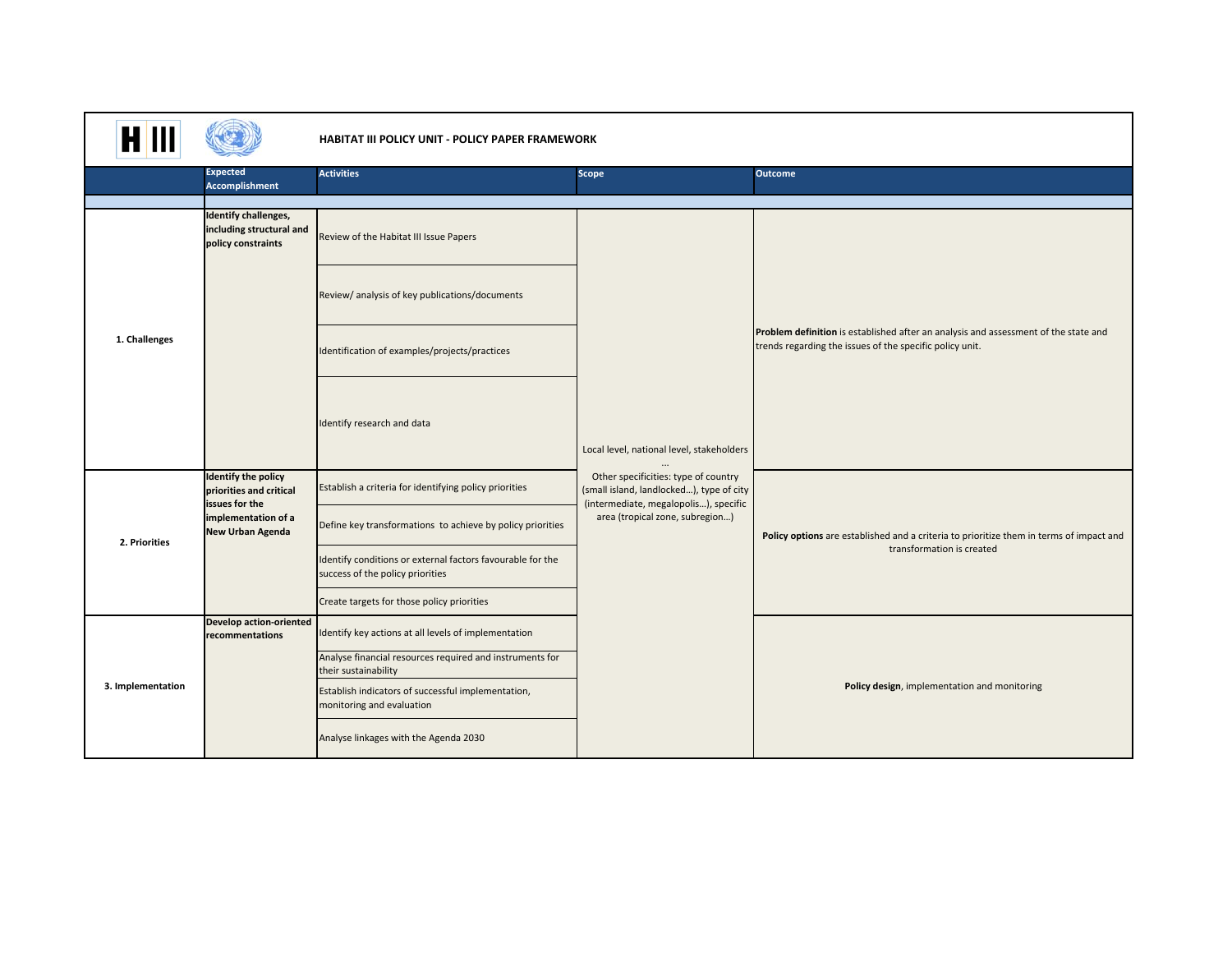| HII               |                                                                                                                           | <b>HABITAT III POLICY UNIT - POLICY PAPER FRAMEWORK</b>                                        |                                                                                                                                                                                           |                                                                                                                                                 |  |
|-------------------|---------------------------------------------------------------------------------------------------------------------------|------------------------------------------------------------------------------------------------|-------------------------------------------------------------------------------------------------------------------------------------------------------------------------------------------|-------------------------------------------------------------------------------------------------------------------------------------------------|--|
|                   | <b>Expected</b><br><b>Accomplishment</b>                                                                                  | <b>Activities</b>                                                                              | <b>Scope</b>                                                                                                                                                                              | <b>Outcome</b>                                                                                                                                  |  |
|                   |                                                                                                                           |                                                                                                |                                                                                                                                                                                           |                                                                                                                                                 |  |
| 1. Challenges     | <b>Identify challenges,</b><br>including structural and<br>policy constraints                                             | Review of the Habitat III Issue Papers                                                         |                                                                                                                                                                                           | Problem definition is established after an analysis and assessment of the state and<br>trends regarding the issues of the specific policy unit. |  |
|                   |                                                                                                                           | Review/ analysis of key publications/documents                                                 |                                                                                                                                                                                           |                                                                                                                                                 |  |
|                   |                                                                                                                           | Identification of examples/projects/practices                                                  |                                                                                                                                                                                           |                                                                                                                                                 |  |
|                   |                                                                                                                           | Identify research and data                                                                     | Local level, national level, stakeholders                                                                                                                                                 |                                                                                                                                                 |  |
| 2. Priorities     | <b>Identify the policy</b><br>priorities and critical<br>issues for the<br>implementation of a<br><b>New Urban Agenda</b> | Establish a criteria for identifying policy priorities                                         | Other specificities: type of country<br>(small island, landlocked), type of city<br>(intermediate, megalopolis), specific<br>area (tropical zone, subregion)<br>transformation is created | Policy options are established and a criteria to prioritize them in terms of impact and                                                         |  |
|                   |                                                                                                                           | Define key transformations to achieve by policy priorities                                     |                                                                                                                                                                                           |                                                                                                                                                 |  |
|                   |                                                                                                                           | Identify conditions or external factors favourable for the<br>success of the policy priorities |                                                                                                                                                                                           |                                                                                                                                                 |  |
|                   |                                                                                                                           | Create targets for those policy priorities                                                     |                                                                                                                                                                                           |                                                                                                                                                 |  |
| 3. Implementation | <b>Develop action-oriented</b><br>recommentations                                                                         | Identify key actions at all levels of implementation                                           |                                                                                                                                                                                           |                                                                                                                                                 |  |
|                   |                                                                                                                           | Analyse financial resources required and instruments for<br>their sustainability               |                                                                                                                                                                                           | Policy design, implementation and monitoring                                                                                                    |  |
|                   |                                                                                                                           | Establish indicators of successful implementation,<br>monitoring and evaluation                |                                                                                                                                                                                           |                                                                                                                                                 |  |
|                   |                                                                                                                           | Analyse linkages with the Agenda 2030                                                          |                                                                                                                                                                                           |                                                                                                                                                 |  |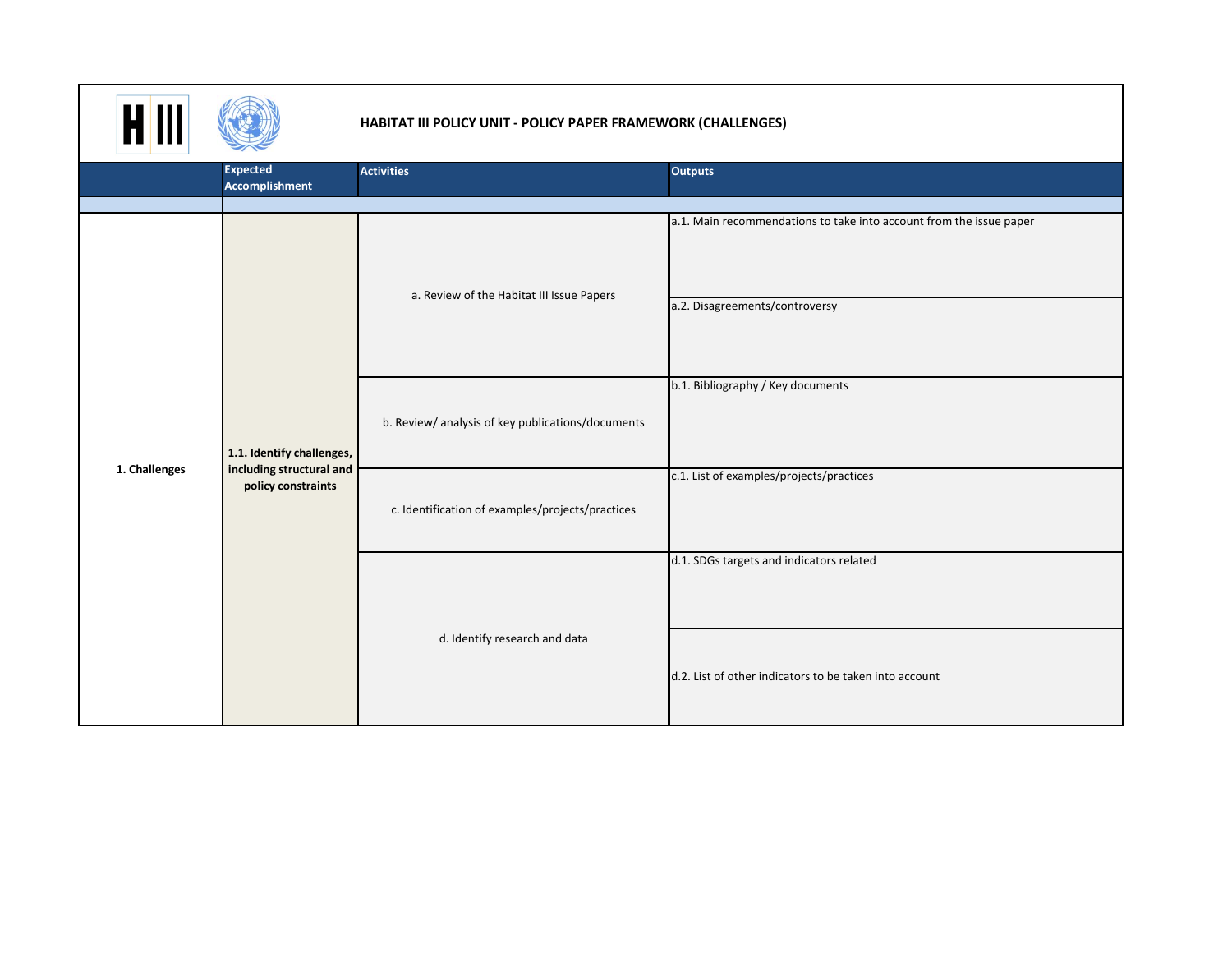

## **HABITAT III POLICY UNIT ‐ POLICY PAPER FRAMEWORK (CHALLENGES)**

|               | $\rightarrow$                                                               |                                                  |                                                                                                       |  |
|---------------|-----------------------------------------------------------------------------|--------------------------------------------------|-------------------------------------------------------------------------------------------------------|--|
|               | <b>Expected</b>                                                             | <b>Activities</b>                                | <b>Outputs</b>                                                                                        |  |
|               | Accomplishment                                                              |                                                  |                                                                                                       |  |
|               |                                                                             |                                                  |                                                                                                       |  |
|               | 1.1. Identify challenges,<br>including structural and<br>policy constraints | a. Review of the Habitat III Issue Papers        | a.1. Main recommendations to take into account from the issue paper<br>a.2. Disagreements/controversy |  |
|               |                                                                             | b. Review/analysis of key publications/documents | b.1. Bibliography / Key documents                                                                     |  |
| 1. Challenges |                                                                             | c. Identification of examples/projects/practices | c.1. List of examples/projects/practices                                                              |  |
|               |                                                                             | d. Identify research and data                    | d.1. SDGs targets and indicators related                                                              |  |
|               |                                                                             |                                                  | d.2. List of other indicators to be taken into account                                                |  |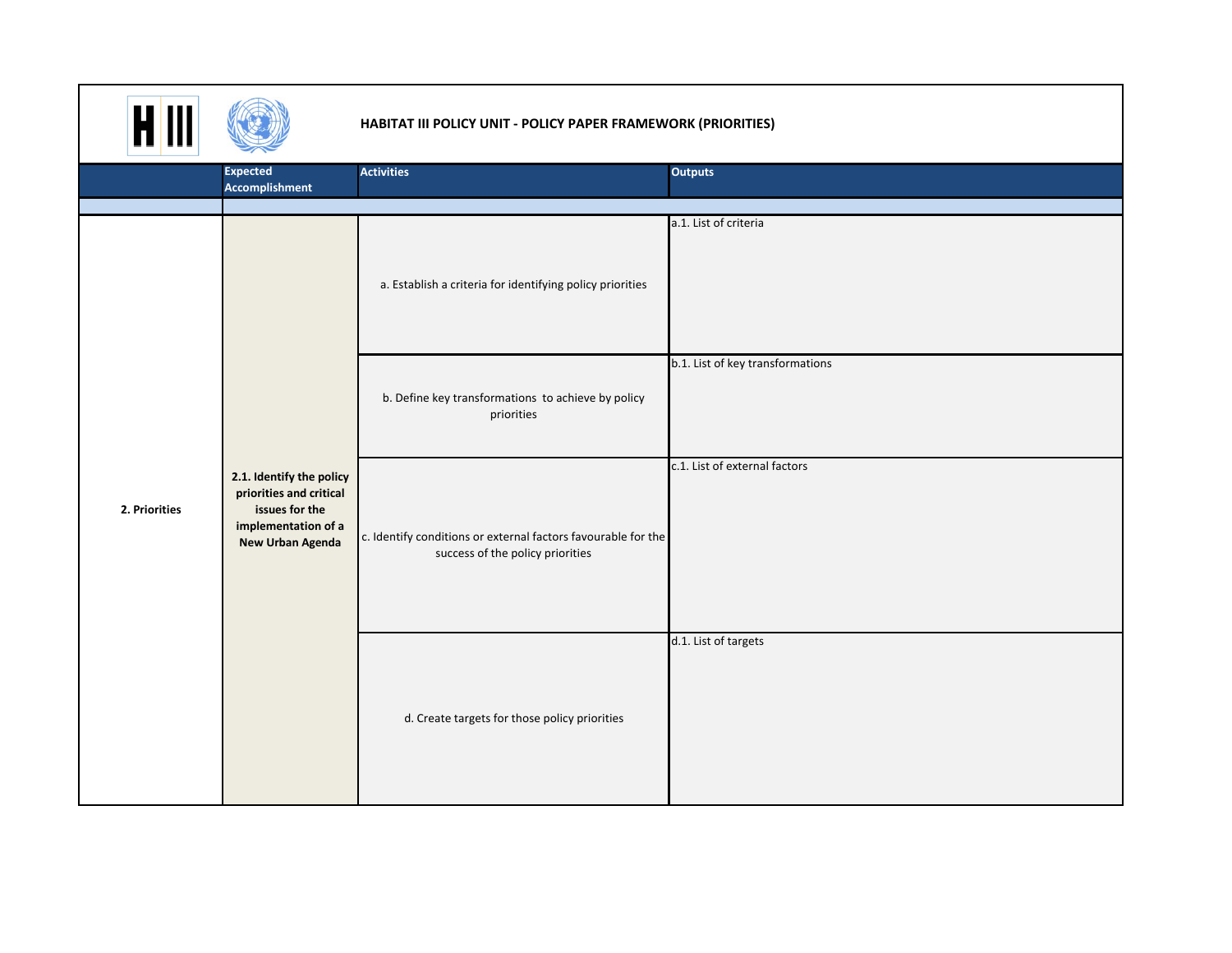

## **HABITAT III POLICY UNIT ‐ POLICY PAPER FRAMEWORK (PRIORITIES)**

|               | $\sim$                                                                                                                  |                                                                                                   |                                  |  |  |  |
|---------------|-------------------------------------------------------------------------------------------------------------------------|---------------------------------------------------------------------------------------------------|----------------------------------|--|--|--|
|               | <b>Expected</b>                                                                                                         | <b>Activities</b>                                                                                 | <b>Outputs</b>                   |  |  |  |
|               | <b>Accomplishment</b>                                                                                                   |                                                                                                   |                                  |  |  |  |
|               |                                                                                                                         |                                                                                                   |                                  |  |  |  |
|               |                                                                                                                         | a. Establish a criteria for identifying policy priorities                                         | a.1. List of criteria            |  |  |  |
|               |                                                                                                                         | b. Define key transformations to achieve by policy<br>priorities                                  | b.1. List of key transformations |  |  |  |
| 2. Priorities | 2.1. Identify the policy<br>priorities and critical<br>issues for the<br>implementation of a<br><b>New Urban Agenda</b> | c. Identify conditions or external factors favourable for the<br>success of the policy priorities | c.1. List of external factors    |  |  |  |
|               |                                                                                                                         | d. Create targets for those policy priorities                                                     | d.1. List of targets             |  |  |  |